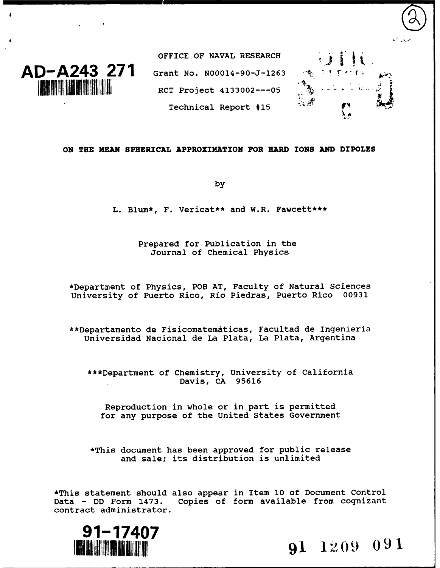

OFFICE OF **NAVAL** RESEARCH **AD-A243 271** Grant No. N00014-90-J-1263 **3 1** RCT Project 4133002---05 Technical Report #15



#### **ON THE MEAN SPHERICAL APPROXIMATION FOR HARD IONS AND DIPOLES**

**by**

**L. Blum\*, F. Vericat\*\* and W.R. Fawcett\*\*\***

**Prepared for Publication in the Journal of Chemical Physics**

\*Department of Physics, POB **AT,** Faculty of Natural Sciences University of Puerto Rico, Rio Piedras, Puerto Rico **00931**

\*\*Departamento de Fisicomatematicas, Facultad de Ingenieria Universidad Nacional de La Plata, La Plata, Argentina

\*\*\*Department of Chemistry, University of California Davis, **CA 95616**

Reproduction in whole or in part is permitted for any purpose of the United States Government

\*This document has been approved for public release and sale; its distribution is unlimited

\*This statement should also appear in Item **10** of Document Control Data **- DD** Form 1473. Copies of form available from cognizant contract administrator.



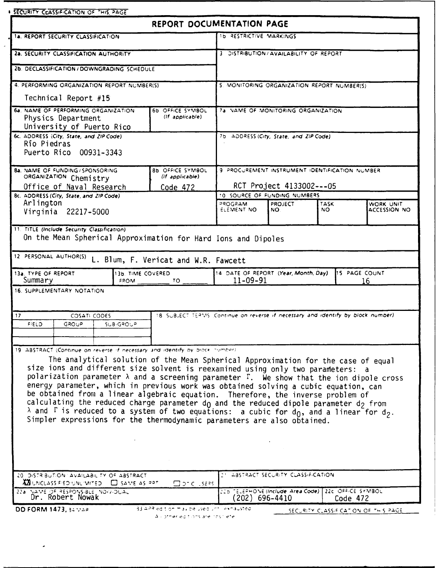| <b>. SECURITY CLASSIFICATION OF THIS PAGE</b>                                                                                                                                                                                                                                                                                                                                                                                                                                                                                                                                                                                                                                                                                                                        |                                                                                                                |                                                          |                                                     |             |                     |
|----------------------------------------------------------------------------------------------------------------------------------------------------------------------------------------------------------------------------------------------------------------------------------------------------------------------------------------------------------------------------------------------------------------------------------------------------------------------------------------------------------------------------------------------------------------------------------------------------------------------------------------------------------------------------------------------------------------------------------------------------------------------|----------------------------------------------------------------------------------------------------------------|----------------------------------------------------------|-----------------------------------------------------|-------------|---------------------|
|                                                                                                                                                                                                                                                                                                                                                                                                                                                                                                                                                                                                                                                                                                                                                                      | REPORT DOCUMENTATION PAGE                                                                                      |                                                          |                                                     |             |                     |
| 1a. REPORT SECURITY CLASSIFICATION                                                                                                                                                                                                                                                                                                                                                                                                                                                                                                                                                                                                                                                                                                                                   |                                                                                                                | ID RESTRICTIVE MARKINGS                                  |                                                     |             |                     |
| 2a. SECURITY CLASSIFICATION AUTHORITY                                                                                                                                                                                                                                                                                                                                                                                                                                                                                                                                                                                                                                                                                                                                |                                                                                                                | 3 DISTRIBUTION/AVAILABILITY OF REPORT                    |                                                     |             |                     |
|                                                                                                                                                                                                                                                                                                                                                                                                                                                                                                                                                                                                                                                                                                                                                                      |                                                                                                                |                                                          |                                                     |             |                     |
| 2b. DECLASSIFICATION / DOWNGRADING SCHEDULE                                                                                                                                                                                                                                                                                                                                                                                                                                                                                                                                                                                                                                                                                                                          |                                                                                                                |                                                          |                                                     |             |                     |
| 4. PERFORMING ORGANIZATION REPORT NUMBER(S)<br>Technical Report #15                                                                                                                                                                                                                                                                                                                                                                                                                                                                                                                                                                                                                                                                                                  |                                                                                                                | 5. MONITORING ORGANIZATION REPORT NUMBER(S)              |                                                     |             |                     |
|                                                                                                                                                                                                                                                                                                                                                                                                                                                                                                                                                                                                                                                                                                                                                                      |                                                                                                                |                                                          |                                                     |             |                     |
| Physics Department                                                                                                                                                                                                                                                                                                                                                                                                                                                                                                                                                                                                                                                                                                                                                   | (If applicable)                                                                                                |                                                          |                                                     |             |                     |
| University of Puerto Rico<br>6c. ADDRESS (City, State, and ZIP Code)                                                                                                                                                                                                                                                                                                                                                                                                                                                                                                                                                                                                                                                                                                 |                                                                                                                | 7b ADDRESS (City, State, and ZIP Code).                  |                                                     |             |                     |
| Río Piedras                                                                                                                                                                                                                                                                                                                                                                                                                                                                                                                                                                                                                                                                                                                                                          |                                                                                                                |                                                          |                                                     |             |                     |
| Puerto Rico 00931-3343                                                                                                                                                                                                                                                                                                                                                                                                                                                                                                                                                                                                                                                                                                                                               |                                                                                                                |                                                          |                                                     |             |                     |
| 8a. NAME OF FUNDING / SPONSORING                                                                                                                                                                                                                                                                                                                                                                                                                                                                                                                                                                                                                                                                                                                                     | 8b OFFICE SYMBOL                                                                                               | 9 PROCUREMENT INSTRUMENT IDENTIFICATION NUMBER           |                                                     |             |                     |
| ORGANIZATION Chemistry                                                                                                                                                                                                                                                                                                                                                                                                                                                                                                                                                                                                                                                                                                                                               | (If applicable)                                                                                                |                                                          |                                                     |             |                     |
| Office of Naval Research<br>Code 472<br>8c. ADDRESS (City, State, and ZIP Code).                                                                                                                                                                                                                                                                                                                                                                                                                                                                                                                                                                                                                                                                                     |                                                                                                                | RCT Project 4133002---05<br>10 SOURCE OF FUNDING NUMBERS |                                                     |             |                     |
| Arlington                                                                                                                                                                                                                                                                                                                                                                                                                                                                                                                                                                                                                                                                                                                                                            |                                                                                                                | <b>MARDOPS</b>                                           | <b>PROJECT</b>                                      | <b>TASK</b> | WORK UNIT           |
| Virginia 22217-5000                                                                                                                                                                                                                                                                                                                                                                                                                                                                                                                                                                                                                                                                                                                                                  |                                                                                                                | ELEMENT NO                                               | NO.                                                 | NO.         | <b>ACCESSION NO</b> |
| 11. TITLE (Include Security Classification)                                                                                                                                                                                                                                                                                                                                                                                                                                                                                                                                                                                                                                                                                                                          |                                                                                                                |                                                          |                                                     |             |                     |
| <b>3b. TIME COVERED</b><br>Summary<br>FROM                                                                                                                                                                                                                                                                                                                                                                                                                                                                                                                                                                                                                                                                                                                           | On the Mean Spherical Approximation for Hard Ions and Dipoles<br>L. Blum, F. Vericat and W.R. Fawcett<br>$TO-$ | 14 DATE OF REPORT (Year, Month, Day)<br>$11 - 09 - 91$   |                                                     |             | 15 PAGE COUNT<br>16 |
| COSATI CODES<br><b>FIELD</b><br>GROUP<br>SUB-GROUP                                                                                                                                                                                                                                                                                                                                                                                                                                                                                                                                                                                                                                                                                                                   | 18. SUBJECT TERMS. Continue on reverse if necessary and identify by block number).                             |                                                          |                                                     |             |                     |
|                                                                                                                                                                                                                                                                                                                                                                                                                                                                                                                                                                                                                                                                                                                                                                      |                                                                                                                |                                                          |                                                     |             |                     |
| The analytical solution of the Mean Spherical Approximation for the case of equal<br>size ions and different size solvent is reexamined using only two parameters: a<br>polarization parameter $\lambda$ and a screening parameter $\Gamma$ . We show that the ion dipole cross<br>energy parameter, which in previous work was obtained solving a cubic equation, can<br>be obtained from a linear algebraic equation. Therefore, the inverse problem of<br>calculating the reduced charge parameter $d_0$ and the reduced dipole parameter $d_2$ from<br>$\lambda$ and $\Gamma$ is reduced to a system of two equations: a cubic for d <sub>0</sub> , and a linear for d <sub>2</sub> .<br>Simpler expressions for the thermodynamic parameters are also obtained. |                                                                                                                |                                                          |                                                     |             |                     |
| <b>XXI</b> UNCLASSIFIED UNLIMITED <b>CI SAME AS RAT</b>                                                                                                                                                                                                                                                                                                                                                                                                                                                                                                                                                                                                                                                                                                              | $\square$ or $C_{\cdot}$ . Sees .                                                                              |                                                          | 21 ABSTRACT SECURITY CLASSIFICATION                 |             |                     |
| 12 PERSONAL AUTHOR(S)<br>13a. TYPE OF REPORT<br>16. SUPPLEMENTARY NOTATION<br>17<br>19. ABSTRACT (Continue on reverse if necessary and identify by block number)<br>20 DISTRIBUTION AVAILABILITY OF ABSTRACT.<br>22a NAME OF RESPONSIBLE NOIVIDUAL                                                                                                                                                                                                                                                                                                                                                                                                                                                                                                                   |                                                                                                                | (202) 696–4410                                           | 225 TELEPHONE (Include Area Code) 22c OFFICE SYMBOL |             | Code 472            |

 $\ddot{\phantom{0}}$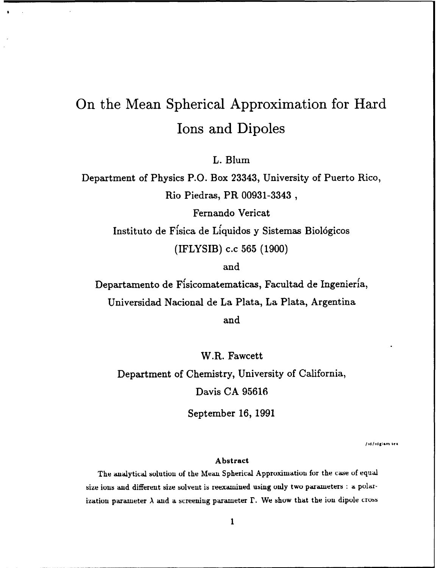# On the Mean Spherical Approximation for Hard Ions and Dipoles

L. Blum

Department of Physics P.O. Box 23343, University of Puerto Rico, Rio Piedras, PR **00931-3343,**

> Fernando Vericat Instituto de Ffsica de Lfquidos **y** Sistemas Biologicos (IFLYSIB) **c.c 565 (1900)**

> > and

Departamento de Ffsicomatematicas, Facultad de Ingenieria, Universidad Nacional de La Plata, La Plata, Argentina and

W.R. Fawcett Department of Chemistry, University of California, Davis **CA 95616**

September **16, 1991**

**lId/Idglim tel**

#### **Abstract**

The analytical solution of the Mean Spherical Approximation for the case of equal size ions and different size solvent is reexamined using only two parameters **:** a polarization parameter  $\lambda$  and a screening parameter  $\Gamma$ . We show that the ion dipole cross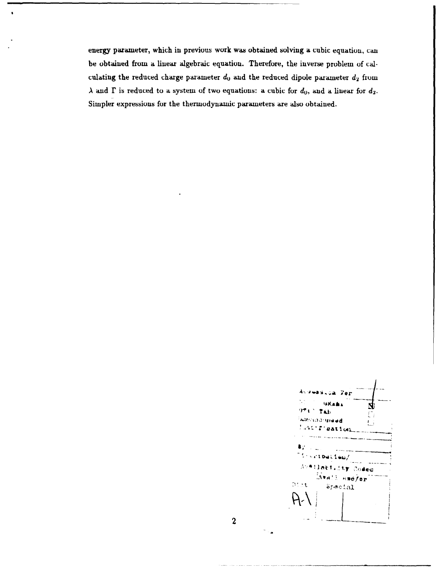energy parameter, which in previous work was obtained solving a cubic equation, can be obtained from a linear algebraic equation. Therefore, the inverse problem of calculating the reduced charge parameter  $d_0$  and the reduced dipole parameter  $d_2$  from  $\lambda$  and  $\Gamma$  is reduced to a system of two equations: a cubic for  $d_0$ , and a linear for  $d_2$ . Simpler expressions for the thermodynamic parameters **are** also obtained.

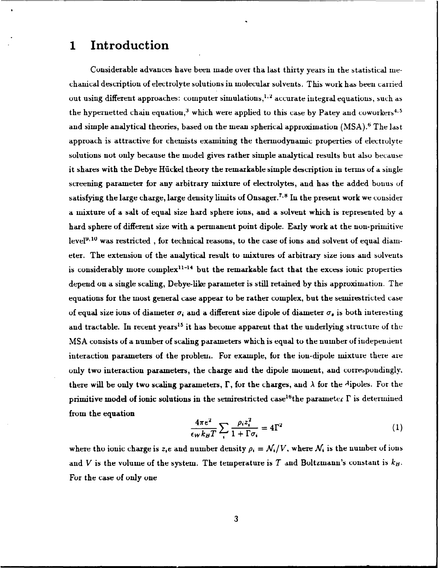## **1 Introduction**

Considerable advances have been made **over** tha last thirty years in the statistical mechanical description of electrolyte solutions in molecular solvents. This work has been carried out using different approaches: computer simulations,<sup>1,2</sup> accurate integral equations, such as the hypernetted chain equation,<sup>3</sup> which were applied to this case by Patey and coworkers<sup>4.5</sup> and simple analytical theories, based **on** the mean spherical approximation (MSA). ' The last approach is attractive for chemists examining the thermodynamic properties of electrolyte solutions not only because the model gives rather simple analytical results but also because it shares with the Debye Hückel theory the remarkable simple description in terms of a single screening parameter for any arbitrary mixture of electrolytes, and has the added bonus of satisfying the large charge, large density limits of Onsager.<sup>7,8</sup> In the present work we consider a mixture of a salt of equal size hard sphere ions, and a solvent which is represented **by** a hard sphere of different size with a permanent point dipole. Early work at the non-primitive level<sup>9, 10</sup> was restricted, for technical reasons, to the case of ions and solvent of equal diameter. The extension of the analytical result to mixtures of arbitrary size ions **and** solvents is considerably more complex<sup>11-14</sup> but the remarkable fact that the excess ionic properties depend on a single scaling, Debye-like parameter is still retained **by** this approximation. The equations for the most general case appear to be rather complex, but the semirestricted case of equal size ions of diameter  $\sigma_i$  and a different size dipole of diameter  $\sigma_i$  is both interesting and tractable. In recent years<sup>15</sup> it has become apparent that the underlying structure of the MSA consists of a number of scaling parameters which is equal to the number of independent interaction parameters of the problem. For example, for the ion-dipole mixture there are only two interaction parameters, the charge and the dipole moment, and correspondingly. there will be only two scaling parameters,  $\Gamma$ , for the charges, and  $\lambda$  for the Aipoles. For the primitive model of ionic solutions in the semirestricted case<sup>16</sup>the parameter  $\Gamma$  is determined from the equation

$$
\frac{4\pi e^2}{\epsilon_W k_B T} \sum_{i} \frac{\rho_i z_i^2}{1 + \Gamma \sigma_i} = 4\Gamma^2
$$
 (1)

where tho ionic charge is  $z_i e$  and number density  $\rho_i = \mathcal{N}_i/V$ , where  $\mathcal{N}_i$  is the number of ions and V is the volume of the system. The temperature is  $T$  and Boltzmann's constant is  $k_B$ . For the case of only one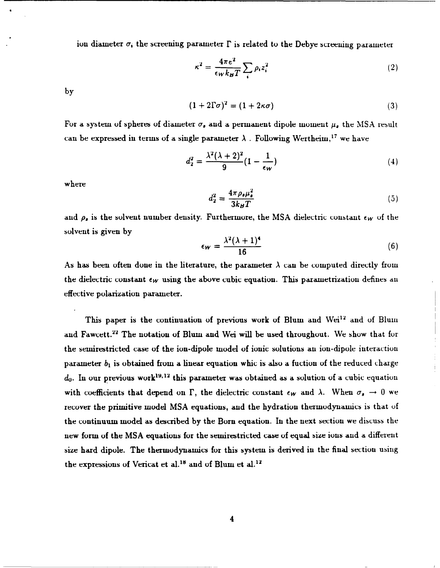ion diameter  $\sigma_i$ , the screening parameter  $\Gamma$  is related to the Debye screening parameter

$$
\kappa^2 = \frac{4\pi e^2}{\epsilon_W k_B T} \sum_i \rho_i z_i^2 \tag{2}
$$

**by**

$$
(1+2\Gamma\sigma)^2 = (1+2\kappa\sigma) \tag{3}
$$

For a system of spheres of diameter  $\sigma_{\epsilon}$  and a permanent dipole moment  $\mu_{\epsilon}$  the MSA result can be expressed in terms of a single parameter  $\lambda$ . Following Wertheim,<sup>17</sup> we have

$$
d_2^2 = \frac{\lambda^2 (\lambda + 2)^2}{9} (1 - \frac{1}{\epsilon_W})
$$
 (4)

where

$$
d_2^2 = \frac{4\pi\rho_s\mu_s^2}{3k_BT} \tag{5}
$$

and  $\rho_{\rm r}$  is the solvent number density. Furthermore, the MSA dielectric constant  $\epsilon_W$  of the solvent is given by

$$
\epsilon_W = \frac{\lambda^2 (\lambda + 1)^4}{16} \tag{6}
$$

As has been often done in the literature, the parameter  $\lambda$  can be computed directly from the dielectric constant  $\epsilon_W$  using the above cubic equation. This parametrization defines an effective polarization parameter.

This paper is the continuation of previous work of Blum and Wei<sup>12</sup> and of Blum and Fawcett.<sup>22</sup> The notation of Blum and Wei will be used throughout. We show that for the semirestricted case of the ion-dipole model of ionic solutions an ion-dipole interaction parameter *b,* is obtained from a linear equation whic is also a fuction of the reduced charge  $d_0$ . In our previous work<sup>19,12</sup> this parameter was obtained as a solution of a cubic equation with coefficients that depend on  $\Gamma$ , the dielectric constant  $\epsilon_W$  and  $\lambda$ . When  $\sigma_s \to 0$  we recover the primitive model MSA equations, and the hydration thermodynamics is that **of** the continuum model as described by the Born equation. In the next section we discuss the new form of the MSA equations for the semirestricted case of equal size ions and a different size hard dipole. The thermodynamics for this system is derived in the final section using the expressions of Vericat et al.<sup>18</sup> and of Blum et al.<sup>12</sup>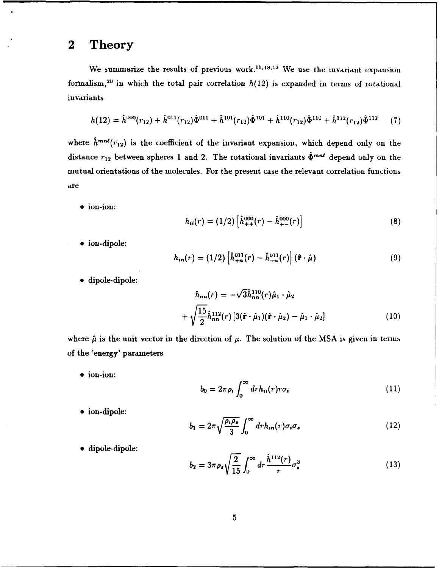### **2 Theory**

We summarize the results of previous work.<sup>11,18,12</sup> We use the invariant expansion formalism,<sup>20</sup> in which the total pair correlation  $h(12)$  is expanded in terms of rotational invariants

$$
h(12) = \hat{h}^{000}(r_{12}) + \hat{h}^{011}(r_{12})\hat{\Phi}^{011} + \hat{h}^{101}(r_{12})\hat{\Phi}^{101} + \hat{h}^{110}(r_{12})\hat{\Phi}^{110} + \hat{h}^{112}(r_{12})\hat{\Phi}^{112} \tag{7}
$$

where  $\hat{h}^{mn\ell}(r_{12})$  is the coefficient of the invariant expansion, which depend only on the distance  $r_{12}$  between spheres 1 and 2. The rotational invariants  $\hat{\Phi}^{mn\ell}$  depend only on the mutual orientations of the molecules. For the present case the relevant correlation functions are

 $\bullet$  ion-ion:

$$
h_{ii}(r) = (1/2) \left[ \hat{h}_{++}^{000}(r) - \hat{h}_{+-}^{000}(r) \right]
$$
 (8)

 $\bullet$  ion-dipole:

$$
h_{in}(r) = (1/2) \left[ \hat{h}_{+n}^{011}(r) - \hat{h}_{-n}^{011}(r) \right] \left( \hat{\mathbf{r}} \cdot \hat{\boldsymbol{\mu}} \right)
$$
 (9)

 $\bullet$  dipole-dipole:

$$
h_{nn}(r) = -\sqrt{3}\hat{h}_{nn}^{110}(r)\hat{\mu}_1 \cdot \hat{\mu}_2
$$
  
+  $\sqrt{\frac{15}{2}}\hat{h}_{nn}^{112}(r)[3(\hat{\mathbf{r}} \cdot \hat{\mu}_1)(\hat{\mathbf{r}} \cdot \hat{\mu}_2) - \hat{\mu}_1 \cdot \hat{\mu}_2]$  (10)

where  $\hat{\mu}$  is the unit vector in the direction of  $\mu$ . The solution of the MSA is given in terms of the 'energy' parameters

 $\bullet$  ion-ion:

$$
b_0 = 2\pi \rho_i \int_0^\infty dr h_{ii}(r) r \sigma_i \tag{11}
$$

 $\bullet$  ion-dipole:

$$
b_1 = 2\pi \sqrt{\frac{\rho_i \rho_s}{3}} \int_0^\infty dr h_{in}(r) \sigma_i \sigma_s \tag{12}
$$

 $\bullet$  dipole-dipole:

$$
b_2 = 3\pi \rho_s \sqrt{\frac{2}{15}} \int_0^\infty dr \frac{\hat{h}^{112}(r)}{r} \sigma_s^3 \tag{13}
$$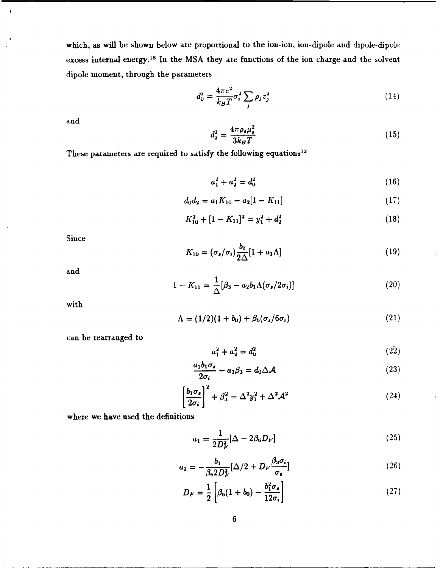which, as will be shown below are proportional to the ion-ion, ion-dipole and dipole-dipole excess internal energy.<sup>18</sup> In the MSA they are functions of the ion charge and the solvent dipole moment, through the parameters

$$
d_0^2 = \frac{4\pi e^2}{k_B T} \sigma_i^2 \sum_j \rho_j z_j^2 \tag{14}
$$

and

 $\cdot$ 

$$
d_2^2 = \frac{4\pi\rho_s\mu_s^2}{3k_BT} \tag{15}
$$

These parameters are required to satisfy the following equations<sup>12</sup>

$$
a_1^2 + a_2^2 = d_0^2 \tag{16}
$$

$$
d_0d_2 = a_1K_{10} - a_2[1 - K_{11}] \qquad (17)
$$

$$
K_{10}^2 + [1 - K_{11}]^2 = y_1^2 + d_2^2 \tag{18}
$$

Since

$$
K_{10} = (\sigma_{\bullet}/\sigma_i) \frac{b_1}{2\Delta} [1 + a_1 \Lambda]
$$
 (19)

and

$$
1 - K_{11} = \frac{1}{\Delta} [\beta_3 - a_2 b_1 \Lambda (\sigma_s / 2 \sigma_i)] \tag{20}
$$

with

$$
\Lambda = (1/2)(1+b_0) + \beta_6(\sigma_s/6\sigma_i) \tag{21}
$$

can be rearranged to

$$
a_1^2 + a_2^2 = d_0^2 \tag{22}
$$

$$
\frac{a_1b_1\sigma_s}{2\sigma_s} - a_2\beta_3 = d_0\Delta\mathcal{A}
$$
 (23)

$$
\frac{1}{2\sigma_i} - a_2 \beta_3 = a_0 \Delta \mathcal{A}
$$
\n
$$
\left[\frac{b_1 \sigma_s}{2\sigma_i}\right]^2 + \beta_3^2 = \Delta^2 y_1^2 + \Delta^2 \mathcal{A}^2
$$
\n(24)

where we have used the definitions

$$
a_1 = \frac{1}{2D_F^2} [\Delta - 2\beta_6 D_F]
$$
 (25)

$$
a_2 = -\frac{b_1}{\beta_6 2 D_F^2} [\Delta/2 + D_F \frac{\beta_3 \sigma_i}{\sigma_s}]
$$
\n(26)

$$
D_F = \frac{1}{2} \left[ \beta_6 (1 + b_0) - \frac{b_1^2 \sigma_s}{12 \sigma_i} \right]
$$
 (27)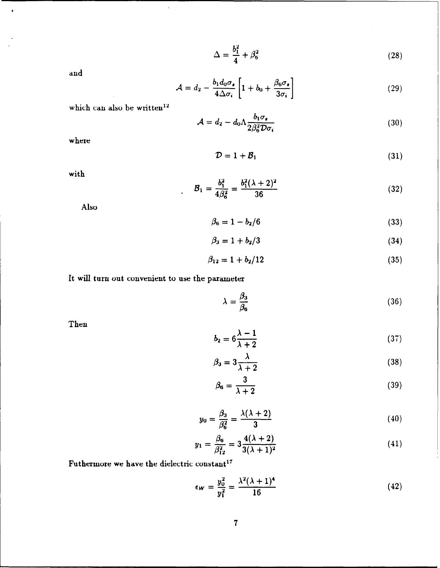$$
\Delta = \frac{b_1^2}{4} + \beta_6^2 \tag{28}
$$

*and*

 $\bullet$ 

$$
\mathcal{A} = d_2 - \frac{b_1 d_0 \sigma_s}{4 \Delta \sigma_i} \left[ 1 + b_0 + \frac{\beta_6 \sigma_s}{3 \sigma_i} \right]
$$
 (29)

which can also be written<sup>12</sup>

$$
\mathcal{A} = d_2 - d_0 \Lambda \frac{b_1 \sigma_s}{2 \beta_6^2 \mathcal{D} \sigma_i} \tag{30}
$$

where

$$
\mathcal{D} = 1 + \mathcal{B}_1 \tag{31}
$$

with

$$
B_1 = \frac{b_1^2}{4\beta_6^2} = \frac{b_1^2(\lambda + 2)^2}{36}
$$
 (32)

Also

$$
\beta_6 = 1 - b_2/6 \tag{33}
$$

$$
\beta_3 = 1 + b_2/3 \tag{34}
$$

$$
\beta_{12} = 1 + b_2/12 \tag{35}
$$

It will turn out convenient to use the parameter

$$
\lambda = \frac{\beta_3}{\beta_6} \tag{36}
$$

Then

$$
b_2 = 6\frac{\lambda - 1}{\lambda + 2} \tag{37}
$$

$$
\beta_3 = 3\frac{\lambda}{\lambda + 2} \tag{38}
$$

$$
\beta_6 = \frac{3}{\lambda + 2} \tag{39}
$$

$$
y_0 = \frac{\beta_3}{\beta_6^2} = \frac{\lambda(\lambda + 2)}{3} \tag{40}
$$

$$
y_1 = \frac{\beta_6}{\beta_{12}^2} = 3 \frac{4(\lambda + 2)}{3(\lambda + 1)^2}
$$
 (41)

Futhermore we have the dielectric constant<sup>17</sup>

$$
\epsilon_W = \frac{y_0^2}{y_1^2} = \frac{\lambda^2 (\lambda + 1)^4}{16}
$$
 (42)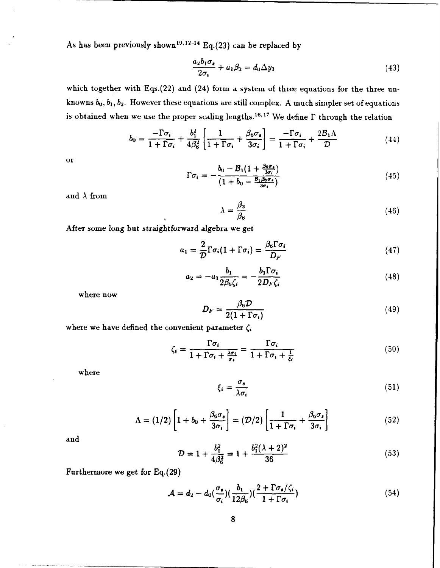As has been previously shown<sup>19,12-14</sup> Eq.(23) can be replaced by

$$
\frac{a_2b_1\sigma_s}{2\sigma_i} + a_1\beta_3 = d_0\Delta y_1\tag{43}
$$

which together with Eqs.(22) and (24) form a system of three equations for the three unknowns  $b_0, b_1, b_2$ . However these equations are still complex. A much simpler set of equations is obtained when we use the proper scaling lengths.<sup>16,17</sup> We define  $\Gamma$  through the relation

$$
b_0 = \frac{-\Gamma\sigma_i}{1+\Gamma\sigma_i} + \frac{b_1^2}{4\beta_6^2} \left[ \frac{1}{1+\Gamma\sigma_i} + \frac{\beta_6\sigma_s}{3\sigma_i} \right] = \frac{-\Gamma\sigma_i}{1+\Gamma\sigma_i} + \frac{2\mathcal{B}_1\Lambda}{\mathcal{D}}
$$
(44)

or

$$
\Gamma \sigma_i = -\frac{b_0 - B_1 (1 + \frac{\beta_0 \sigma_s}{3\sigma_i})}{(1 + b_0 - \frac{B_1 \beta_0 \sigma_s}{3\sigma_i})}
$$
(45)

and  $\lambda$  from

$$
\lambda = \frac{\beta_3}{\beta_6} \tag{46}
$$

After some long but straightforward algebra we get

$$
a_1 = \frac{2}{D} \Gamma \sigma_i (1 + \Gamma \sigma_i) = \frac{\beta_6 \Gamma \sigma_i}{D_F}
$$
 (47)

$$
a_2 = -a_1 \frac{b_1}{2\beta_6 \zeta_i} = -\frac{b_1 \Gamma \sigma_i}{2D_F \zeta_i}
$$
(48)

where now

$$
D_F = \frac{\beta_6 \mathcal{D}}{2(1 + \Gamma \sigma_i)}\tag{49}
$$

where we have defined the convenient parameter  $\zeta_i$ 

$$
\zeta_i = \frac{\Gamma \sigma_i}{1 + \Gamma \sigma_i + \frac{\lambda \sigma_i}{\sigma_s}} = \frac{\Gamma \sigma_i}{1 + \Gamma \sigma_i + \frac{1}{\xi_i}}
$$
\n(50)

where

$$
\xi_i = \frac{\sigma_s}{\lambda \sigma_i} \tag{51}
$$

$$
\Lambda = (1/2) \left[ 1 + b_0 + \frac{\beta_6 \sigma_s}{3 \sigma_i} \right] = (\mathcal{D}/2) \left[ \frac{1}{1 + \Gamma \sigma_i} + \frac{\beta_6 \sigma_s}{3 \sigma_i} \right]
$$
(52)

and

$$
\mathcal{D} = 1 + \frac{b_1^2}{4\beta_6^2} = 1 + \frac{b_1^2(\lambda + 2)^2}{36} \tag{53}
$$

Furthermore we get for Eq.(29)

$$
\mathcal{A} = d_2 - d_0(\frac{\sigma_s}{\sigma_i}) \left( \frac{b_1}{12\beta_6} \right) \left( \frac{2 + \Gamma \sigma_s / \zeta_i}{1 + \Gamma \sigma_i} \right) \tag{54}
$$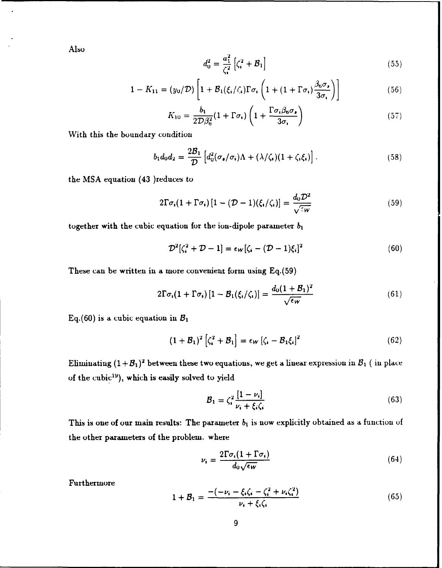Also

$$
d_0^2 = \frac{a_1^2}{\zeta_i^2} \left[ \zeta_i^2 + \mathcal{B}_1 \right]
$$
 (55)

$$
1 - K_{11} = (y_0/\mathcal{D}) \left[ 1 + \mathcal{B}_1(\xi_i/\zeta_i) \Gamma \sigma_i \left( 1 + (1 + \Gamma \sigma_i) \frac{\beta_6 \sigma_s}{3 \sigma_i} \right) \right]
$$
(56)

$$
K_{10} = \frac{b_1}{2\mathcal{D}\beta_6^2} (1 + \Gamma \sigma_i) \left( 1 + \frac{\Gamma \sigma_i \beta_6 \sigma_s}{3\sigma_i} \right) \tag{57}
$$

With this the boundary condition

$$
b_1 d_0 d_2 = \frac{2\mathcal{B}_1}{\mathcal{D}} \left[ d_0^2 (\sigma_{\bullet}/\sigma_i) \Lambda + (\lambda/\zeta_i)(1+\zeta_i \xi_i) \right]. \tag{58}
$$

the MSA equation (43 )reduces to

$$
2\Gamma\sigma_i(1+\Gamma\sigma_i)\left[1-(\mathcal{D}-1)(\xi_i/\zeta_i)\right]=\frac{d_0\mathcal{D}^2}{\sqrt{2W}}
$$
\n(59)

together with the cubic equation for the ion-dipole parameter *bi*

$$
\mathcal{D}^2[\zeta_i^2 + \mathcal{D} - 1] = \epsilon_W[\zeta_i - (\mathcal{D} - 1)\xi_i]^2 \tag{60}
$$

These can be written in a more convenient form using **Eq.(59)**

$$
2\Gamma\sigma_i(1+\Gamma\sigma_i)\left[1-\mathcal{B}_1(\xi_i/\zeta_i)\right]=\frac{d_0(1+\mathcal{B}_1)^2}{\sqrt{\epsilon_W}}
$$
(61)

Eq.(60) is a cubic equation in *B,*

$$
(1 + \mathcal{B}_1)^2 \left[ \zeta_i^2 + \mathcal{B}_1 \right] = \epsilon_W \left[ \zeta_i - \mathcal{B}_1 \xi_i \right]^2 \tag{62}
$$

 $\rm Eliminating\ (1+{\cal B}_1)^2$  between these two equations, we get a linear expression in  ${\cal B}_1$  ( in place of the cubic"), which is easily solved to yield

$$
\mathcal{B}_1 = \zeta_i^2 \frac{\left[1 - \nu_i\right]}{\nu_i + \xi_i \zeta_i} \tag{63}
$$

This is one of our main results: The parameter  $b_1$  is now explicitly obtained as a function of the other parameters of the problem. where

$$
\nu_i = \frac{2\Gamma\sigma_i(1+\Gamma\sigma_i)}{d_0\sqrt{\epsilon_W}}\tag{64}
$$

Furthermore

$$
1 + B_1 = \frac{-(-\nu_i - \xi_i\zeta_i - \zeta_i^2 + \nu_i\zeta_i^2)}{\nu_i + \xi_i\zeta_i}
$$
(65)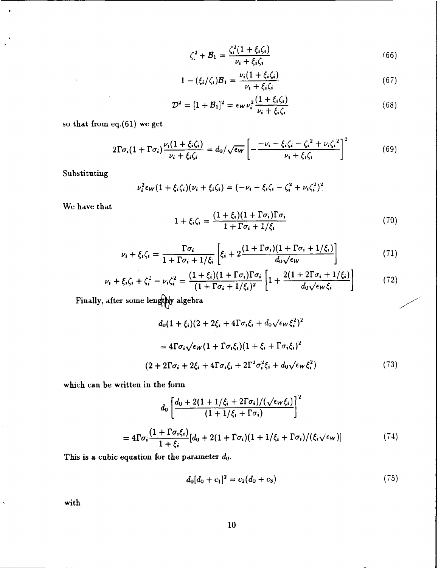$$
\zeta_i^2 + \mathcal{B}_1 = \frac{\zeta_i^2 (1 + \xi_i \zeta_i)}{\nu_i + \xi_i \zeta_i} \tag{66}
$$

$$
1 - (\xi_i/\zeta_i)\mathcal{B}_1 = \frac{\nu_i(1 + \xi_i\zeta_i)}{\nu_i + \xi_i\zeta_i}
$$
(67)

$$
\mathcal{D}^2 = [1 + \mathcal{B}_1]^2 = \epsilon_W \nu_i^2 \frac{(1 + \xi_i \zeta_i)}{\nu_i + \xi_i \zeta_i}
$$
(68)

so that from eq.(61) we get

$$
2\Gamma\sigma_i(1+\Gamma\sigma_i)\frac{\nu_i(1+\xi_i\zeta_i)}{\nu_i+\xi_i\zeta_i} = d_0/\sqrt{\epsilon_W}\left[-\frac{-\nu_i-\xi_i\zeta_i-\zeta_i^2+\nu_i\zeta_i^2}{\nu_i+\xi_i\zeta_i}\right]^2\tag{69}
$$

Substituting

ä

$$
\nu_i^2 \epsilon_W (1 + \xi_i \zeta_i) (\nu_i + \xi_i \zeta_i) = (-\nu_i - \xi_i \zeta_i - \zeta_i^2 + \nu_i \zeta_i^2)^2
$$

We have that

$$
1 + \xi_i \zeta_i = \frac{(1 + \xi_i)(1 + \Gamma \sigma_i)\Gamma \sigma_i}{1 + \Gamma \sigma_i + 1/\xi_i} \tag{70}
$$

$$
\nu_i + \xi_i \zeta_i = \frac{\Gamma \sigma_i}{1 + \Gamma \sigma_i + 1/\xi_i} \left[ \xi_i + 2 \frac{(1 + \Gamma \sigma_i)(1 + \Gamma \sigma_i + 1/\xi_i)}{d_0 \sqrt{\epsilon_W}} \right]
$$
(71)

$$
\nu_i + \xi_i \zeta_i + \zeta_i^2 - \nu_i \zeta_i^2 = \frac{(1+\xi_i)(1+\Gamma\sigma_i)\Gamma\sigma_i}{(1+\Gamma\sigma_i+1/\xi_i)^2} \left[1 + \frac{2(1+2\Gamma\sigma_i+1/\xi_i)}{d_0\sqrt{\epsilon_W \xi_i}}\right]
$$
(72)

Finally, after some lengthly algebra

$$
d_0(1+\xi_i)(2+2\xi_i+4\Gamma\sigma_i\xi_i+d_0\sqrt{\epsilon_W\xi_i^2})^2
$$
  
=  $4\Gamma\sigma_i\sqrt{\epsilon_W}(1+\Gamma\sigma_i\xi_i)(1+\xi_i+\Gamma\sigma_i\xi_i)^2$   

$$
(2+2\Gamma\sigma_i+2\xi_i+4\Gamma\sigma_i\xi_i+2\Gamma^2\sigma_i^2\xi_i+d_0\sqrt{\epsilon_W\xi_i^2})
$$
(73)

which can be written in the form

$$
d_0 \left[ \frac{d_0 + 2(1 + 1/\xi_i + 2\Gamma\sigma_i)/(\sqrt{\epsilon_W \xi_i})}{(1 + 1/\xi_i + \Gamma\sigma_i)} \right]^2
$$
  
= 
$$
4\Gamma \sigma_i \frac{(1 + \Gamma \sigma_i \xi_i)}{1 + \xi_i} [d_0 + 2(1 + \Gamma \sigma_i)(1 + 1/\xi_i + \Gamma \sigma_i)/(\xi_i \sqrt{\epsilon_W})]
$$
(74)

This is a cubic equation for the parameter *do.*

$$
d_0[d_0 + c_1]^2 = c_2(d_0 + c_3) \tag{75}
$$

with

 $\boldsymbol{\checkmark}$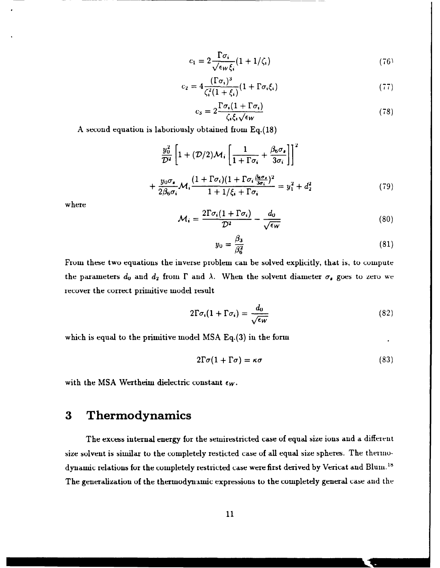$$
c_1 = 2 \frac{\Gamma \sigma_i}{\sqrt{\epsilon_W \xi_i}} (1 + 1/\zeta_i)
$$
 (76)

$$
c_2 = 4 \frac{(\Gamma \sigma_i)^3}{\zeta_i^2 (1 + \xi_i)} (1 + \Gamma \sigma_i \xi_i)
$$
\n(77)

$$
c_3 = 2 \frac{\Gamma \sigma_i (1 + \Gamma \sigma_i)}{\zeta_i \zeta_i \sqrt{\epsilon_W}} \tag{78}
$$

A second equation is laboriously obtained from Eq.(18)

$$
\frac{y_0^2}{\mathcal{D}^2} \left[ 1 + (\mathcal{D}/2)\mathcal{M}_i \left[ \frac{1}{1 + \Gamma \sigma_i} + \frac{\beta_6 \sigma_s}{3 \sigma_i} \right] \right]^2
$$
  
+ 
$$
\frac{y_0 \sigma_s}{2\beta_6 \sigma_i} \mathcal{M}_i \frac{(1 + \Gamma \sigma_i)(1 + \Gamma \sigma_i \frac{\beta_6 \sigma_s}{3 \sigma_i})^2}{1 + 1/\xi_i + \Gamma \sigma_i} = y_1^2 + d_2^2
$$
(79)

where

$$
\mathcal{M}_i = \frac{2\Gamma\sigma_i(1+\Gamma\sigma_i)}{\mathcal{D}^2} - \frac{d_0}{\sqrt{\epsilon_W}}\tag{80}
$$

$$
y_0 = \frac{\beta_3}{\beta_6^2} \tag{81}
$$

From these two equations the inverse problem can be solved explicitly, that is, to compute the parameters  $d_0$  and  $d_2$  from  $\Gamma$  and  $\lambda$ . When the solvent diameter  $\sigma_s$  goes to zero we recover the correct primitive model result

$$
2\Gamma\sigma_i(1+\Gamma\sigma_i) = \frac{d_0}{\sqrt{\epsilon_W}}\tag{82}
$$

which is equal to the primitive model MSA Eq.(3) in the form

$$
2\Gamma\sigma(1+\Gamma\sigma)=\kappa\sigma\tag{83}
$$

with the MSA Wertheim dielectric constant  $\epsilon_W$ .

# **3** Thermodynamics

The excess internal energy for the semirestricted case **of** equal size ions **and** a different size solvent is similar to the completely resticted case of all equal size spheres. The thermodynamic relations for the completely restricted case were first derived by Vericat and Blum. IS The generalization of the thermodynamic expressions to the completely general case and the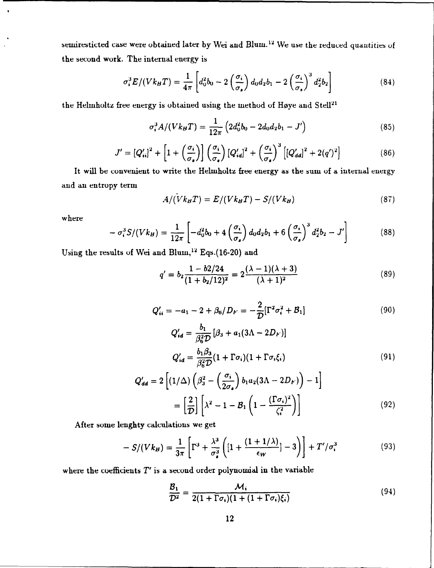semiresticted case were obtained later by Wei and Blum.<sup>12</sup> We use the reduced quantities of the second work. The internal energy is

$$
\sigma_i^3 E/(V k_B T) = \frac{1}{4\pi} \left[ d_0^2 b_0 - 2 \left( \frac{\sigma_i}{\sigma_s} \right) d_0 d_2 b_1 - 2 \left( \frac{\sigma_i}{\sigma_s} \right)^3 d_2^2 b_2 \right]
$$
(84)

the Helmholtz free energy is obtained using the method of Høye and Stell $^{21}$ 

$$
\sigma_i^3 A / (V k_B T) = \frac{1}{12\pi} \left( 2d_0^2 b_0 - 2d_0 d_2 b_1 - J' \right) \tag{85}
$$

$$
J' = \left[Q'_{ii}\right]^2 + \left[1 + \left(\frac{\sigma_i}{\sigma_s}\right)\right] \left(\frac{\sigma_i}{\sigma_s}\right) \left[Q'_{id}\right]^2 + \left(\frac{\sigma_i}{\sigma_s}\right)^3 \left[\left(Q'_{dd}\right)^2 + 2(q')^2\right] \tag{86}
$$

It will be convenient to write the Helmholtz free energy as the sum of a internal energy and an entropy term

$$
A/(Vk_BT) = E/(Vk_BT) - S/(Vk_B)
$$
\n(87)

where

$$
-\sigma_i^3 S/(V k_B) = \frac{1}{12\pi} \left[ -d_0^2 b_0 + 4\left(\frac{\sigma_i}{\sigma_s}\right) d_0 d_2 b_1 + 6\left(\frac{\sigma_i}{\sigma_s}\right)^3 d_2^2 b_2 - J' \right]
$$
(88)

Using the results of Wei and Blum,<sup>12</sup> Eqs.(16-20) and

$$
q' = b_2 \frac{1 - b2/24}{(1 + b_2/12)^2} = 2 \frac{(\lambda - 1)(\lambda + 3)}{(\lambda + 1)^2}
$$
(89)

$$
Q'_{ii} = -a_1 - 2 + \beta_6 / D_F = -\frac{2}{D} [\Gamma^2 \sigma_i^2 + B_1]
$$
 (90)

$$
Q'_{id} = \frac{b_1}{\beta_6^2 D} [\beta_3 + a_1 (3\Lambda - 2D_F)]
$$
  

$$
Q'_{id} = \frac{b_1 \beta_3}{\beta_6^2 D} (1 + \Gamma \sigma_i)(1 + \Gamma \sigma_i \xi_i)
$$
 (91)

$$
Q'_{dd} = 2\left[ (1/\Delta) \left( \beta_3^2 - \left( \frac{\sigma_i}{2\sigma_s} \right) b_1 a_2 (3\Lambda - 2D_F) \right) - 1 \right]
$$

$$
= \left[ \frac{2}{\mathcal{D}} \right] \left[ \lambda^2 - 1 - \mathcal{B}_1 \left( 1 - \frac{(\Gamma \sigma_i)^2}{\zeta_i^2} \right) \right] \tag{92}
$$

After some lenghty calculations we get

$$
-S/(Vk_B) = \frac{1}{3\pi} \left[ \Gamma^3 + \frac{\lambda^3}{\sigma_s^3} \left( \left[ 1 + \frac{(1+1/\lambda)}{\epsilon_W} \right] - 3 \right) \right] + T'/\sigma_i^3 \tag{93}
$$

where the coefficients  $T'$  is a second order polynomial in the variable

$$
\frac{\mathcal{B}_1}{\mathcal{D}^2} = \frac{\mathcal{M}_i}{2(1+\Gamma\sigma_i)(1+(1+\Gamma\sigma_i)\xi_i)}
$$
(94)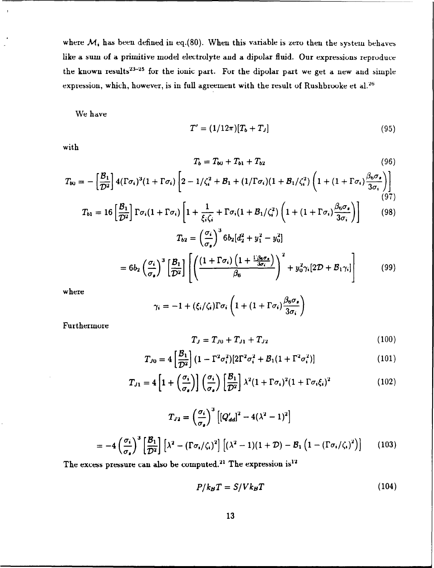where  $M_i$  has been defined in eq.(80). When this variable is zero then the system behaves like a sum **of** a primitive model electrolyte and a dipolar fluid. Our expressions reproduce the known results<sup>23-25</sup> for the ionic part. For the dipolar part we get a new and simple expression, which, however, is in full agreement with the result of Rushbrooke et al.<sup>26</sup>

We have

$$
T' = (1/12\pi)[T_b + T_J]
$$
\n(95)

with

$$
T_b = T_{b0} + T_{b1} + T_{b2} \tag{96}
$$

$$
T_{b0} = -\left[\frac{\mathcal{B}_1}{\mathcal{D}^2}\right] 4(\Gamma \sigma_i)^3 (1 + \Gamma \sigma_i) \left[2 - 1/\zeta_i^2 + \mathcal{B}_1 + (1/\Gamma \sigma_i)(1 + \mathcal{B}_1/\zeta_i^2) \left(1 + (1 + \Gamma \sigma_i) \frac{\beta_6 \sigma_s}{3 \sigma_i}\right)\right]
$$
\n(97)

$$
T_{b1} = 16 \left[ \frac{\mathcal{B}_1}{\mathcal{D}^2} \right] \Gamma \sigma_i (1 + \Gamma \sigma_i) \left[ 1 + \frac{1}{\xi_i \zeta_i} + \Gamma \sigma_i (1 + \mathcal{B}_1/\zeta_i^2) \left( 1 + (1 + \Gamma \sigma_i) \frac{\beta_6 \sigma_s}{3 \sigma_i} \right) \right]
$$
(98)

$$
T_{b2} = \left(\frac{1}{\sigma_s}\right) 6b_2\left[d_2^2 + y_1^2 - y_0^2\right]
$$

$$
= 6b_2\left(\frac{\sigma_i}{\sigma_s}\right)^3 \left[\frac{B_1}{\mathcal{D}^2}\right] \left[\left(\frac{\left(1 + \Gamma\sigma_i\right)\left(1 + \frac{\Gamma\beta_0\sigma_s}{3\sigma_i}\right)}{\beta_6}\right)^2 + y_0^2 \gamma_i \left[2\mathcal{D} + \mathcal{B}_1\gamma_i\right]\right] \tag{99}
$$

where

$$
\gamma_i = -1 + (\xi_i/\zeta_i)\Gamma\sigma_i\left(1 + (1+\Gamma\sigma_i)\frac{\beta_6\sigma_s}{3\sigma_i}\right)
$$

Furthermore

$$
T_J = T_{J0} + T_{J1} + T_{J2} \tag{100}
$$

$$
T_{J0} = 4 \left[ \frac{\mathcal{B}_1}{\mathcal{D}^2} \right] (1 - \Gamma^2 \sigma_i^2) [2 \Gamma^2 \sigma_i^2 + \mathcal{B}_1 (1 + \Gamma^2 \sigma_i^2)] \tag{101}
$$

$$
T_{J1} = 4\left[1 + \left(\frac{\sigma_i}{\sigma_s}\right)\right] \left(\frac{\sigma_i}{\sigma_s}\right) \left[\frac{\mathcal{B}_1}{\mathcal{D}^2}\right] \lambda^2 (1 + \Gamma \sigma_i)^2 (1 + \Gamma \sigma_i \xi_i)^2 \tag{102}
$$

$$
T_{J2} = \left(\frac{\sigma_i}{\sigma_s}\right)^3 \left[ \left(Q'_{dd}\right)^2 - 4(\lambda^2 - 1)^2 \right]
$$

$$
= -4 \left(\frac{\sigma_i}{\sigma_s}\right)^3 \left[ \frac{\mathcal{B}_1}{\mathcal{D}^2} \right] \left[ \lambda^2 - \left(\Gamma \sigma_i / \zeta_i\right)^2 \right] \left[ (\lambda^2 - 1)(1 + \mathcal{D}) - \mathcal{B}_1 \left(1 - \left(\Gamma \sigma_i / \zeta_i\right)^2\right) \right] \tag{103}
$$

The excess pressure can also be computed.<sup>21</sup> The expression is<sup>12</sup>

$$
P/k_B T = S/Vk_B T \tag{104}
$$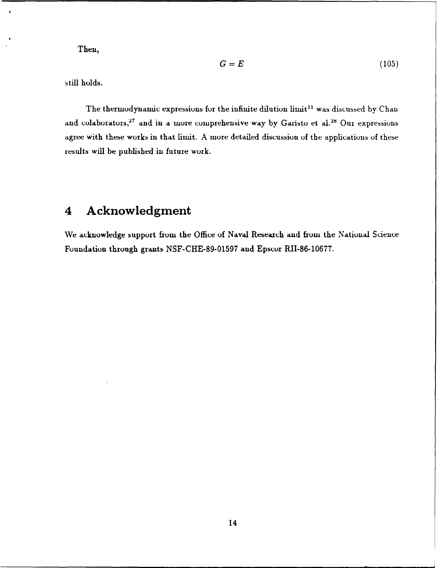Then,

$$
G = E \tag{105}
$$

still holds.

The thermodynamic expressions for the infinite dilution limit<sup>11</sup> was discussed by Chan and colaborators,<sup>27</sup> and in a more comprehensive way by Garisto et al.<sup>28</sup> Our expressions agree with these works in that limit. A more detailed discussion of the applications of these results will be published in future work.

# **4 Acknowledgment**

We acknowledge support from the Office of Naval Reseaxch and from the National Science Foundation through grants NSF-CHE-89-01597 and Epscor RII-86-10677.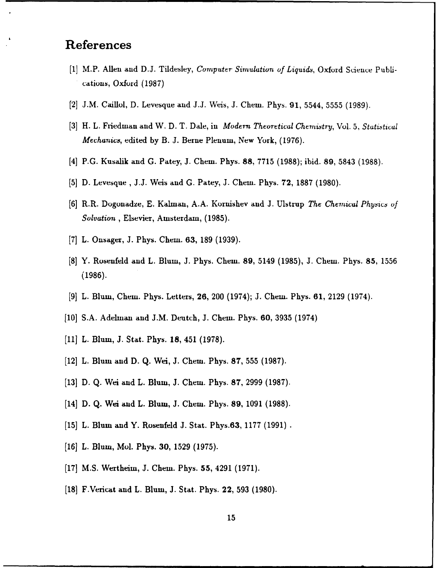# References

- **[11** M.P. Allen and D.J. Tildesley, *Computer Simulation of Liquids,* Oxford Science Publi- **.** cations, Oxford (1987)
- [2] J.M. Caillol, D. Levesque and J.J. Weis, J. Chem. Phys. 91, 5544, 5555 (1989).
- [3] H. L. Friedman and W. D. T. Dale, in *Modern Theoretical Chemistry*, Vol. 5, *Statistical Mechanics,* edited by B. J. Berne Plenum, New York, (1976).
- [4] P.G. Kusalik and G. Patey, J. Chem. Phys. 88, 7715 (1988); ibid. 89, 5843 (1988).
- [5] D. Levesque, **J.J.** Weis and G. Patey, **J.** Chem. Phys. 72, 1887 (1980).
- [6] R.R. Dogonadze, E. Kalman, A.A. Kornishev and **J.** Ulstrup *The Chemical Physic' of Solvation,* Elsevier, Amsterdam, (1985).
- **[7]** L. Onsager, **3.** Phys. Chem. 63, 189 (1939).
- [8] Y. Rosenfeld and L. Blum, J. Phys. Chem. **89,** 5149 (1985), J. Chem. Phys. **85,** 1556 (1986).
- [9] L. Blum, Chem. Phys. Letters, **26,** 200 (1974); J. Chem. Phys. **61,** 2129 (1974).
- [10] S.A. Adelman and J.M. Deutch, J. Chem. Phys. **60,** 3935 (1974)
- [11] L. Blum, J. Stat. Phys. 18, 451 (1978).
- [121 L. Blum and D. Q. Wei, J. Chem. Phys. **87, 555** (1987).
- [13] D. Q. Wei and L. Blum, **J.** Chem. Phys. **87,** 2999 (1987).
- [14] D. Q. Wei and L. Blum, J. Chem. Phys. **89,** 1091 (1988).
- [15] L. Blum and Y. Rosenfeld **J.** Stat. Phys.63, 1177 (1991)
- [16] L. Blum, Mol. Phys. **30,** 1529 (1975).
- [17] M.S. Wertheim, J. Chem. Phys. **55,** 4291 (1971).
- [18] F.Vericat and L. Blum, **J.** Stat. Phys. 22, 593 (1980).